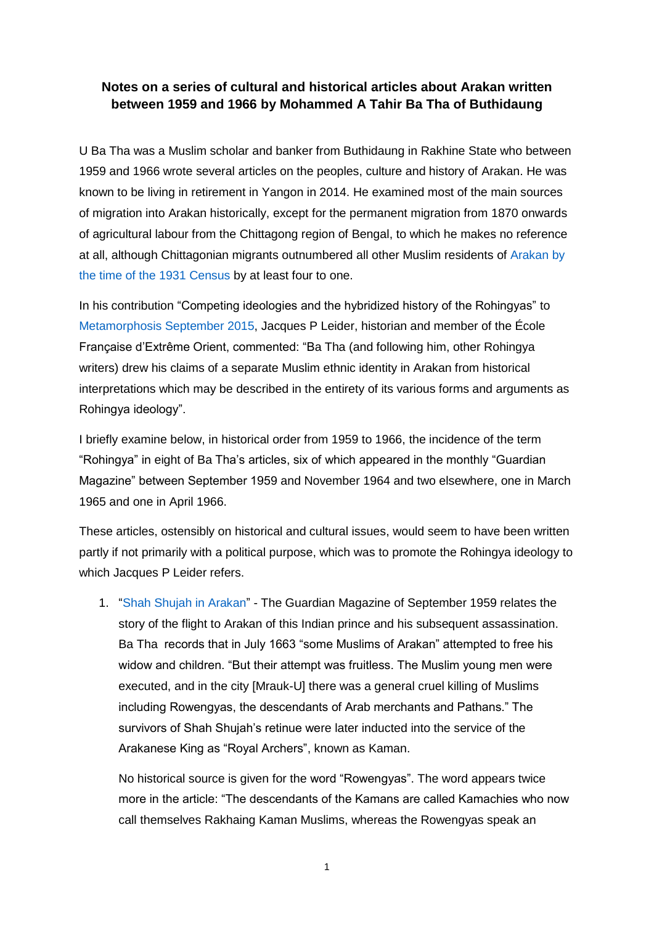## **Notes on a series of cultural and historical articles about Arakan written between 1959 and 1966 by Mohammed A Tahir Ba Tha of Buthidaung**

U Ba Tha was a Muslim scholar and banker from Buthidaung in Rakhine State who between 1959 and 1966 wrote several articles on the peoples, culture and history of Arakan. He was known to be living in retirement in Yangon in 2014. He examined most of the main sources of migration into Arakan historically, except for the permanent migration from 1870 onwards of agricultural labour from the Chittagong region of Bengal, to which he makes no reference at all, although Chittagonian migrants outnumbered all other Muslim residents of [Arakan](http://www.networkmyanmar.org/ESW/Files/1931-Census-Tables.pdf) by [the time of the 1931 Census](http://www.networkmyanmar.org/ESW/Files/1931-Census-Tables.pdf) by at least four to one.

In his contribution "Competing ideologies and the hybridized history of the Rohingyas" to [Metamorphosis September 2015,](http://nuspress.nus.edu.sg/products/metamorphosis-studies-in-social-and-political-change-in-myanmar?variant=6065300357) Jacques P Leider, historian and member of the École Française d'Extrême Orient, commented: "Ba Tha (and following him, other Rohingya writers) drew his claims of a separate Muslim ethnic identity in Arakan from historical interpretations which may be described in the entirety of its various forms and arguments as Rohingya ideology".

I briefly examine below, in historical order from 1959 to 1966, the incidence of the term "Rohingya" in eight of Ba Tha's articles, six of which appeared in the monthly "Guardian Magazine" between September 1959 and November 1964 and two elsewhere, one in March 1965 and one in April 1966.

These articles, ostensibly on historical and cultural issues, would seem to have been written partly if not primarily with a political purpose, which was to promote the Rohingya ideology to which Jacques P Leider refers.

1. ["Shah Shujah in Arakan"](http://web.archive.org/web/20160506060709/http:/www.networkmyanmar.org/images/stories/PDF20/Shah-Shujah.pdf) - The Guardian Magazine of September 1959 relates the story of the flight to Arakan of this Indian prince and his subsequent assassination. Ba Tha records that in July 1663 "some Muslims of Arakan" attempted to free his widow and children. "But their attempt was fruitless. The Muslim young men were executed, and in the city [Mrauk-U] there was a general cruel killing of Muslims including Rowengyas, the descendants of Arab merchants and Pathans." The survivors of Shah Shujah's retinue were later inducted into the service of the Arakanese King as "Royal Archers", known as Kaman.

No historical source is given for the word "Rowengyas". The word appears twice more in the article: "The descendants of the Kamans are called Kamachies who now call themselves Rakhaing Kaman Muslims, whereas the Rowengyas speak an

1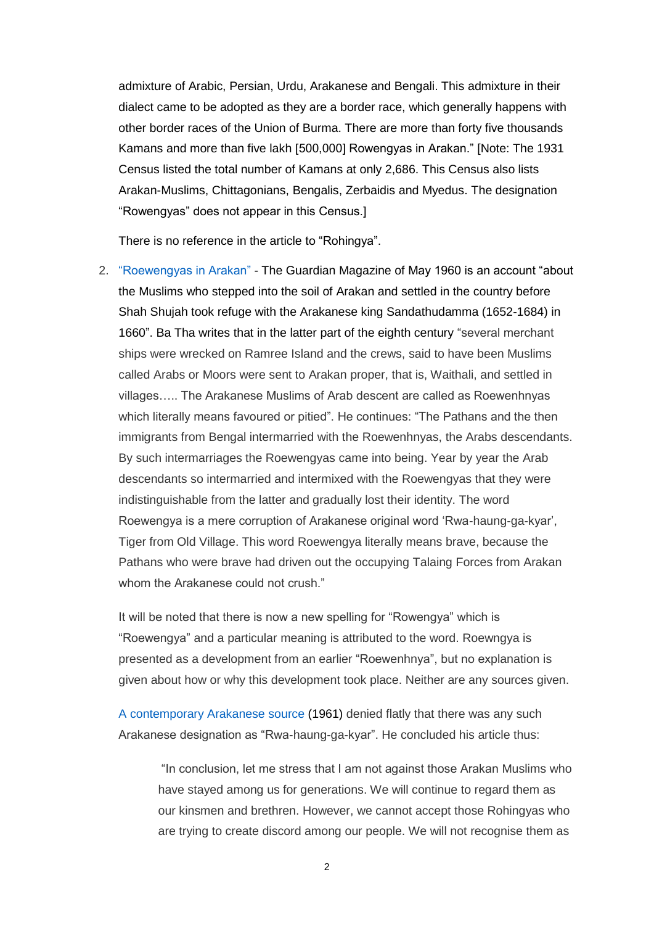admixture of Arabic, Persian, Urdu, Arakanese and Bengali. This admixture in their dialect came to be adopted as they are a border race, which generally happens with other border races of the Union of Burma. There are more than forty five thousands Kamans and more than five lakh [500,000] Rowengyas in Arakan." [Note: The 1931 Census listed the total number of Kamans at only 2,686. This Census also lists Arakan-Muslims, Chittagonians, Bengalis, Zerbaidis and Myedus. The designation "Rowengyas" does not appear in this Census.]

There is no reference in the article to "Rohingya".

2. ["Roewengyas in Arakan"](http://www.networkmyanmar.org/ESW/Files/Ba-Tha-May-1960.pdf) - The Guardian Magazine of May 1960 is an account "about the Muslims who stepped into the soil of Arakan and settled in the country before Shah Shujah took refuge with the Arakanese king Sandathudamma (1652-1684) in 1660". Ba Tha writes that in the latter part of the eighth century "several merchant ships were wrecked on Ramree Island and the crews, said to have been Muslims called Arabs or Moors were sent to Arakan proper, that is, Waithali, and settled in villages….. The Arakanese Muslims of Arab descent are called as Roewenhnyas which literally means favoured or pitied". He continues: "The Pathans and the then immigrants from Bengal intermarried with the Roewenhnyas, the Arabs descendants. By such intermarriages the Roewengyas came into being. Year by year the Arab descendants so intermarried and intermixed with the Roewengyas that they were indistinguishable from the latter and gradually lost their identity. The word Roewengya is a mere corruption of Arakanese original word 'Rwa-haung-ga-kyar', Tiger from Old Village. This word Roewengya literally means brave, because the Pathans who were brave had driven out the occupying Talaing Forces from Arakan whom the Arakanese could not crush."

It will be noted that there is now a new spelling for "Rowengya" which is "Roewengya" and a particular meaning is attributed to the word. Roewngya is presented as a development from an earlier "Roewenhnya", but no explanation is given about how or why this development took place. Neither are any sources given.

[A contemporary Arakanese source](http://www.networkmyanmar.org/ESW/Files/Seit-Twe-Maung.pdf) (1961) denied flatly that there was any such Arakanese designation as "Rwa-haung-ga-kyar". He concluded his article thus:

"In conclusion, let me stress that I am not against those Arakan Muslims who have stayed among us for generations. We will continue to regard them as our kinsmen and brethren. However, we cannot accept those Rohingyas who are trying to create discord among our people. We will not recognise them as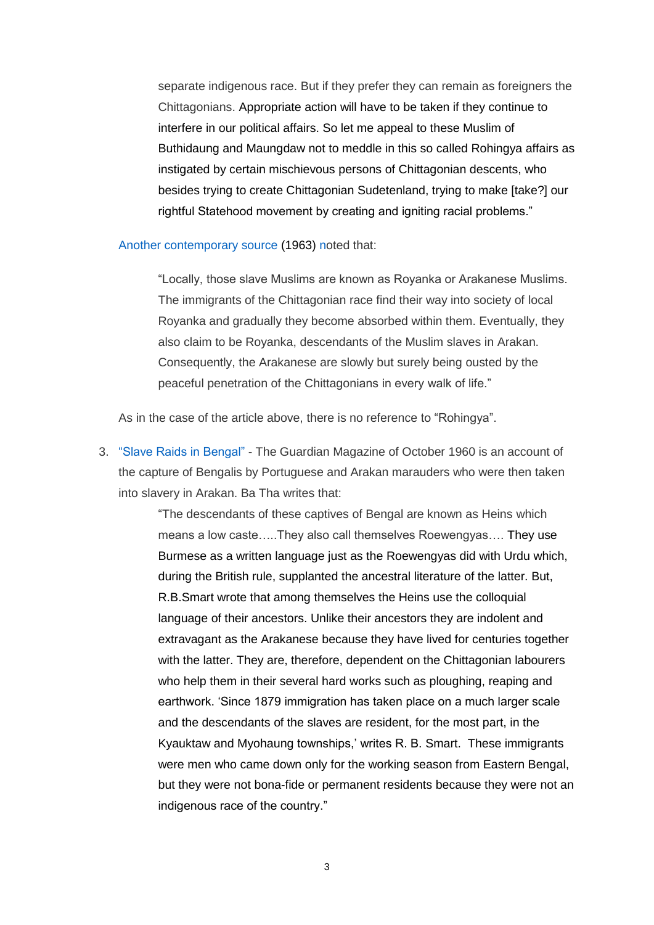separate indigenous race. But if they prefer they can remain as foreigners the Chittagonians. Appropriate action will have to be taken if they continue to interfere in our political affairs. So let me appeal to these Muslim of Buthidaung and Maungdaw not to meddle in this so called Rohingya affairs as instigated by certain mischievous persons of Chittagonian descents, who besides trying to create Chittagonian Sudetenland, trying to make [take?] our rightful Statehood movement by creating and igniting racial problems."

[Another contemporary source](http://www.networkmyanmar.org/ESW/Files/Tha-Thu-Akyab.pdf) (1963) noted that:

"Locally, those slave Muslims are known as Royanka or Arakanese Muslims. The immigrants of the Chittagonian race find their way into society of local Royanka and gradually they become absorbed within them. Eventually, they also claim to be Royanka, descendants of the Muslim slaves in Arakan. Consequently, the Arakanese are slowly but surely being ousted by the peaceful penetration of the Chittagonians in every walk of life."

As in the case of the article above, there is no reference to "Rohingya".

3. ["Slave Raids in Bengal"](http://web.archive.org/web/20160429201808/http:/www.networkmyanmar.org/images/stories/PDF17/Guardian-October-1960-rev2.pdf) - The Guardian Magazine of October 1960 is an account of the capture of Bengalis by Portuguese and Arakan marauders who were then taken into slavery in Arakan. Ba Tha writes that:

> "The descendants of these captives of Bengal are known as Heins which means a low caste…..They also call themselves Roewengyas…. They use Burmese as a written language just as the Roewengyas did with Urdu which, during the British rule, supplanted the ancestral literature of the latter. But, R.B.Smart wrote that among themselves the Heins use the colloquial language of their ancestors. Unlike their ancestors they are indolent and extravagant as the Arakanese because they have lived for centuries together with the latter. They are, therefore, dependent on the Chittagonian labourers who help them in their several hard works such as ploughing, reaping and earthwork. 'Since 1879 immigration has taken place on a much larger scale and the descendants of the slaves are resident, for the most part, in the Kyauktaw and Myohaung townships,' writes R. B. Smart. These immigrants were men who came down only for the working season from Eastern Bengal, but they were not bona-fide or permanent residents because they were not an indigenous race of the country."

> > 3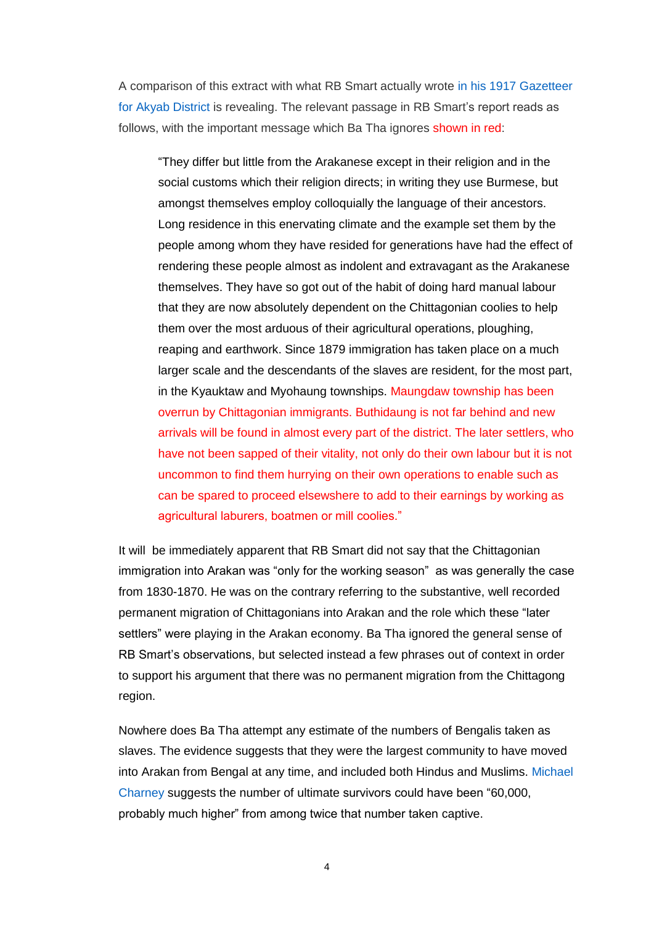A comparison of this extract with what RB Smart actually wrote [in his 1917 Gazetteer](http://web.archive.org/web/20160506112345/http:/www.networkmyanmar.org/images/stories/PDF19/Akyab-Gazetteer-1917.pdf)  [for Akyab District](http://web.archive.org/web/20160506112345/http:/www.networkmyanmar.org/images/stories/PDF19/Akyab-Gazetteer-1917.pdf) is revealing. The relevant passage in RB Smart's report reads as follows, with the important message which Ba Tha ignores shown in red:

"They differ but little from the Arakanese except in their religion and in the social customs which their religion directs; in writing they use Burmese, but amongst themselves employ colloquially the language of their ancestors. Long residence in this enervating climate and the example set them by the people among whom they have resided for generations have had the effect of rendering these people almost as indolent and extravagant as the Arakanese themselves. They have so got out of the habit of doing hard manual labour that they are now absolutely dependent on the Chittagonian coolies to help them over the most arduous of their agricultural operations, ploughing, reaping and earthwork. Since 1879 immigration has taken place on a much larger scale and the descendants of the slaves are resident, for the most part, in the Kyauktaw and Myohaung townships. Maungdaw township has been overrun by Chittagonian immigrants. Buthidaung is not far behind and new arrivals will be found in almost every part of the district. The later settlers, who have not been sapped of their vitality, not only do their own labour but it is not uncommon to find them hurrying on their own operations to enable such as can be spared to proceed elsewshere to add to their earnings by working as agricultural laburers, boatmen or mill coolies."

It will be immediately apparent that RB Smart did not say that the Chittagonian immigration into Arakan was "only for the working season" as was generally the case from 1830-1870. He was on the contrary referring to the substantive, well recorded permanent migration of Chittagonians into Arakan and the role which these "later settlers" were playing in the Arakan economy. Ba Tha ignored the general sense of RB Smart's observations, but selected instead a few phrases out of context in order to support his argument that there was no permanent migration from the Chittagong region.

Nowhere does Ba Tha attempt any estimate of the numbers of Bengalis taken as slaves. The evidence suggests that they were the largest community to have moved into Arakan from Bengal at any time, and included both Hindus and Muslims. [Michael](https://www.scribd.com/doc/97188422/Where-Jambudipa-and-Islamdom-Converged-Religious-Change-and-the-Emergence-of-Buddhist-Communalism-in-Early-Modern-Arakan-15th-19th-Centuries-by-Mic)  [Charney](https://www.scribd.com/doc/97188422/Where-Jambudipa-and-Islamdom-Converged-Religious-Change-and-the-Emergence-of-Buddhist-Communalism-in-Early-Modern-Arakan-15th-19th-Centuries-by-Mic) suggests the number of ultimate survivors could have been "60,000, probably much higher" from among twice that number taken captive.

4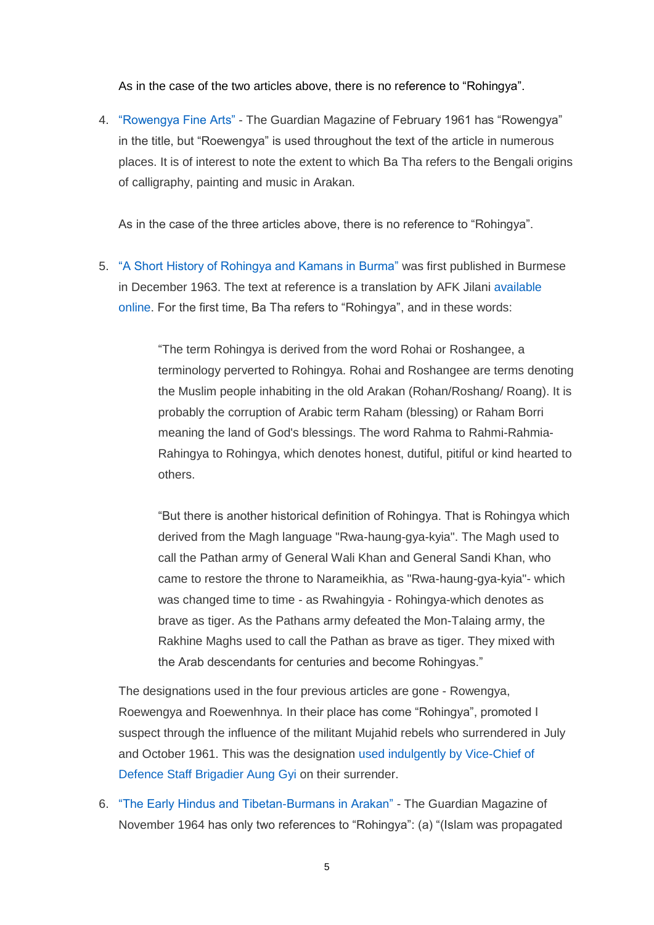As in the case of the two articles above, there is no reference to "Rohingya".

4. ["Rowengya Fine Arts"](http://www.burmalibrary.org/docs21/Ba-Tha-1961-Rowengya_Fine_Arts-en.pdf) - The Guardian Magazine of February 1961 has "Rowengya" in the title, but "Roewengya" is used throughout the text of the article in numerous places. It is of interest to note the extent to which Ba Tha refers to the Bengali origins of calligraphy, painting and music in Arakan.

As in the case of the three articles above, there is no reference to "Rohingya".

5. ["A Short History of Rohingya and Kamans in Burma"](file:///C:/My%20Web%20Sites/Network%20Myanmar/www.networkmyanmar.org/images/stories/PDF17/Short-History.pdf) was first published in Burmese in December 1963. The text at reference is a translation by AFK Jilani [available](http://www.kaladanpress.org/index.php/scholar-column-mainmenu-36/arakan/872-a-short-history-of-rohingya-and-kamas-of-burma.html)  [online.](http://www.kaladanpress.org/index.php/scholar-column-mainmenu-36/arakan/872-a-short-history-of-rohingya-and-kamas-of-burma.html) For the first time, Ba Tha refers to "Rohingya", and in these words:

> "The term Rohingya is derived from the word Rohai or Roshangee, a terminology perverted to Rohingya. Rohai and Roshangee are terms denoting the Muslim people inhabiting in the old Arakan (Rohan/Roshang/ Roang). It is probably the corruption of Arabic term Raham (blessing) or Raham Borri meaning the land of God's blessings. The word Rahma to Rahmi-Rahmia-Rahingya to Rohingya, which denotes honest, dutiful, pitiful or kind hearted to others.

> "But there is another historical definition of Rohingya. That is Rohingya which derived from the Magh language "Rwa-haung-gya-kyia". The Magh used to call the Pathan army of General Wali Khan and General Sandi Khan, who came to restore the throne to Narameikhia, as "Rwa-haung-gya-kyia"- which was changed time to time - as Rwahingyia - Rohingya-which denotes as brave as tiger. As the Pathans army defeated the Mon-Talaing army, the Rakhine Maghs used to call the Pathan as brave as tiger. They mixed with the Arab descendants for centuries and become Rohingyas."

The designations used in the four previous articles are gone - Rowengya, Roewengya and Roewenhnya. In their place has come "Rohingya", promoted I suspect through the influence of the militant Mujahid rebels who surrendered in July and October 1961. This was the designation [used indulgently by Vice-Chief of](http://web.archive.org/web/20160506060945/http:/www.networkmyanmar.org/images/stories/PDF19/Mujahid-Surrenders-1961.pdf)  [Defence Staff Brigadier Aung Gyi](http://web.archive.org/web/20160506060945/http:/www.networkmyanmar.org/images/stories/PDF19/Mujahid-Surrenders-1961.pdf) on their surrender.

6. ["The Early Hindus and Tibetan-Burmans in Arakan"](file:///C:/My%20Web%20Sites/Network%20Myanmar/www.networkmyanmar.org/images/stories/PDF20/HTB.pdf) - The Guardian Magazine of November 1964 has only two references to "Rohingya": (a) "(Islam was propagated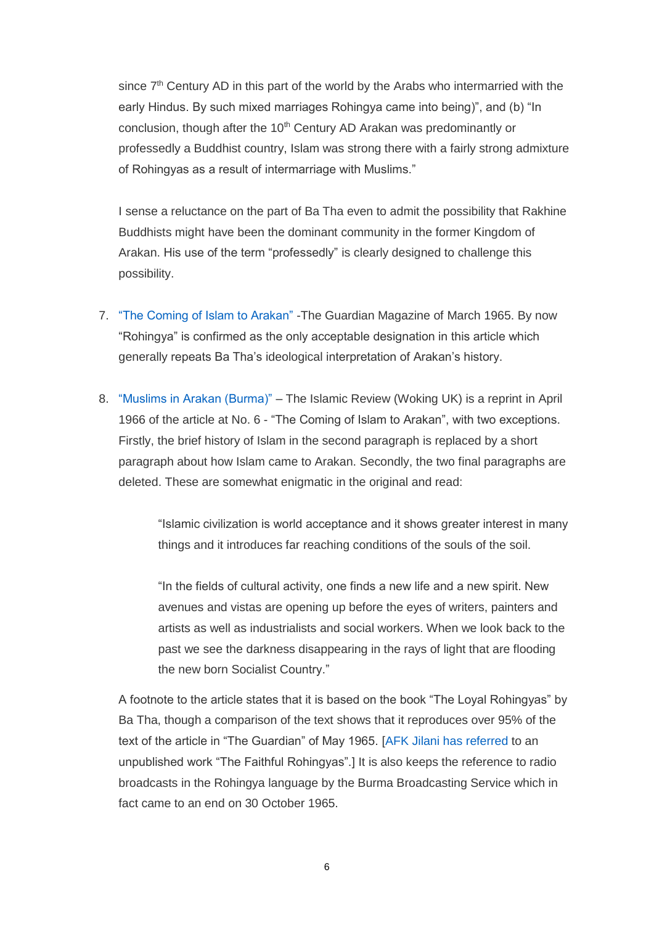since  $7<sup>th</sup>$  Century AD in this part of the world by the Arabs who intermarried with the early Hindus. By such mixed marriages Rohingya came into being)", and (b) "In conclusion, though after the 10<sup>th</sup> Century AD Arakan was predominantly or professedly a Buddhist country, Islam was strong there with a fairly strong admixture of Rohingyas as a result of intermarriage with Muslims."

I sense a reluctance on the part of Ba Tha even to admit the possibility that Rakhine Buddhists might have been the dominant community in the former Kingdom of Arakan. His use of the term "professedly" is clearly designed to challenge this possibility.

- 7. ["The Coming of Islam to Arakan"](file:///C:/My%20Web%20Sites/Network%20Myanmar/www.networkmyanmar.org/images/stories/PDF20/CIA.pdf) -The Guardian Magazine of March 1965. By now "Rohingya" is confirmed as the only acceptable designation in this article which generally repeats Ba Tha's ideological interpretation of Arakan's history.
- 8. ["Muslims in Arakan \(Burma\)"](http://web.archive.org/web/20160429184727/http:/www.networkmyanmar.org/images/stories/PDF20/Islamic-Review-April-1966.pdf) The Islamic Review (Woking UK) is a reprint in April 1966 of the article at No. 6 - "The Coming of Islam to Arakan", with two exceptions. Firstly, the brief history of Islam in the second paragraph is replaced by a short paragraph about how Islam came to Arakan. Secondly, the two final paragraphs are deleted. These are somewhat enigmatic in the original and read:

"Islamic civilization is world acceptance and it shows greater interest in many things and it introduces far reaching conditions of the souls of the soil.

"In the fields of cultural activity, one finds a new life and a new spirit. New avenues and vistas are opening up before the eyes of writers, painters and artists as well as industrialists and social workers. When we look back to the past we see the darkness disappearing in the rays of light that are flooding the new born Socialist Country."

A footnote to the article states that it is based on the book "The Loyal Rohingyas" by Ba Tha, though a comparison of the text shows that it reproduces over 95% of the text of the article in "The Guardian" of May 1965. [\[AFK Jilani has referred](http://www.kaladanpress.org/index.php/scholar-column-mainmenu-36/arakan/872-a-short-history-of-rohingya-and-kamas-of-burma.html) to an unpublished work "The Faithful Rohingyas".] It is also keeps the reference to radio broadcasts in the Rohingya language by the Burma Broadcasting Service which in fact came to an end on 30 October 1965.